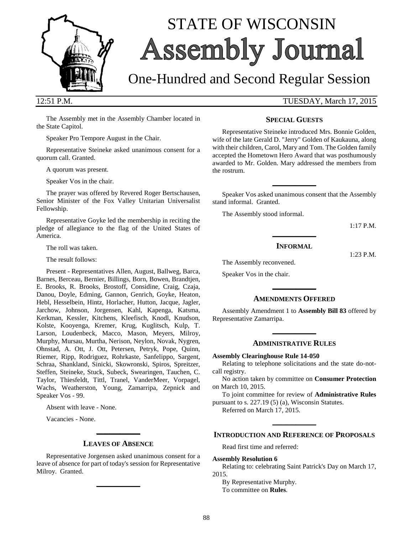

# STATE OF WISCONSIN **Assembly Journal**

## One-Hundred and Second Regular Session

12:51 P.M. TUESDAY, March 17, 2015

The Assembly met in the Assembly Chamber located in the State Capitol.

Speaker Pro Tempore August in the Chair.

Representative Steineke asked unanimous consent for a quorum call. Granted.

A quorum was present.

Speaker Vos in the chair.

The prayer was offered by Revered Roger Bertschausen, Senior Minister of the Fox Valley Unitarian Universalist Fellowship.

Representative Goyke led the membership in reciting the pledge of allegiance to the flag of the United States of America.

The roll was taken.

The result follows:

Present - Representatives Allen, August, Ballweg, Barca, Barnes, Berceau, Bernier, Billings, Born, Bowen, Brandtjen, E. Brooks, R. Brooks, Brostoff, Considine, Craig, Czaja, Danou, Doyle, Edming, Gannon, Genrich, Goyke, Heaton, Hebl, Hesselbein, Hintz, Horlacher, Hutton, Jacque, Jagler, Jarchow, Johnson, Jorgensen, Kahl, Kapenga, Katsma, Kerkman, Kessler, Kitchens, Kleefisch, Knodl, Knudson, Kolste, Kooyenga, Kremer, Krug, Kuglitsch, Kulp, T. Larson, Loudenbeck, Macco, Mason, Meyers, Milroy, Murphy, Mursau, Murtha, Nerison, Neylon, Novak, Nygren, Ohnstad, A. Ott, J. Ott, Petersen, Petryk, Pope, Quinn, Riemer, Ripp, Rodriguez, Rohrkaste, Sanfelippo, Sargent, Schraa, Shankland, Sinicki, Skowronski, Spiros, Spreitzer, Steffen, Steineke, Stuck, Subeck, Swearingen, Tauchen, C. Taylor, Thiesfeldt, Tittl, Tranel, VanderMeer, Vorpagel, Wachs, Weatherston, Young, Zamarripa, Zepnick and Speaker Vos - 99.

Absent with leave - None.

Vacancies - None.

## **\_\_\_\_\_\_\_\_\_\_\_\_\_ LEAVES OF ABSENCE**

Representative Jorgensen asked unanimous consent for a leave of absence for part of today's session for Representative Milroy. Granted.

**\_\_\_\_\_\_\_\_\_\_\_\_\_**

#### **SPECIAL GUESTS**

Representative Steineke introduced Mrs. Bonnie Golden, wife of the late Gerald D. "Jerry" Golden of Kaukauna, along with their children, Carol, Mary and Tom. The Golden family accepted the Hometown Hero Award that was posthumously awarded to Mr. Golden. Mary addressed the members from the rostrum.

Speaker Vos asked unanimous consent that the Assembly stand informal. Granted.

**\_\_\_\_\_\_\_\_\_\_\_\_\_**

The Assembly stood informal.

1:17 P.M.

1:23 P.M.

#### **INFORMAL**

**\_\_\_\_\_\_\_\_\_\_\_\_\_**

The Assembly reconvened.

Speaker Vos in the chair.

## **\_\_\_\_\_\_\_\_\_\_\_\_\_ AMENDMENTS OFFERED**

Assembly Amendment 1 to **Assembly Bill 83** offered by Representative Zamarripa.

**\_\_\_\_\_\_\_\_\_\_\_\_\_**

#### **ADMINISTRATIVE RULES**

#### **Assembly Clearinghouse Rule 14-050**

Relating to telephone solicitations and the state do-notcall registry.

No action taken by committee on **Consumer Protection** on March 10, 2015.

To joint committee for review of **Administrative Rules** pursuant to s. 227.19 (5) (a), Wisconsin Statutes.

Referred on March 17, 2015.

## **\_\_\_\_\_\_\_\_\_\_\_\_\_ INTRODUCTION AND REFERENCE OF PROPOSALS**

Read first time and referred:

#### **Assembly Resolution 6**

Relating to: celebrating Saint Patrick's Day on March 17, 2015.

By Representative Murphy.

To committee on **Rules**.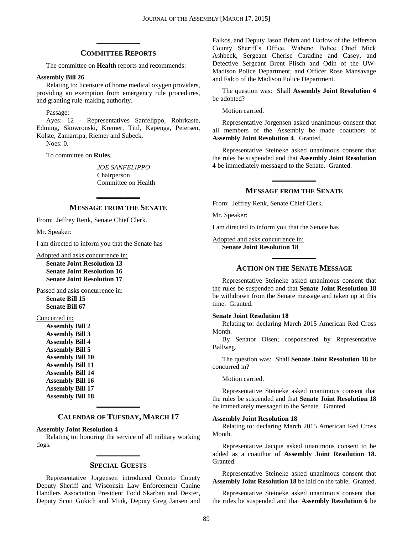## **\_\_\_\_\_\_\_\_\_\_\_\_\_ COMMITTEE REPORTS**

The committee on **Health** reports and recommends:

#### **Assembly Bill 26**

Relating to: licensure of home medical oxygen providers, providing an exemption from emergency rule procedures, and granting rule-making authority.

Passage:

Ayes: 12 - Representatives Sanfelippo, Rohrkaste, Edming, Skowronski, Kremer, Tittl, Kapenga, Petersen, Kolste, Zamarripa, Riemer and Subeck.

Noes: 0.

To committee on **Rules**.

*JOE SANFELIPPO* Chairperson Committee on Health

## **\_\_\_\_\_\_\_\_\_\_\_\_\_ MESSAGE FROM THE SENATE**

From: Jeffrey Renk, Senate Chief Clerk.

Mr. Speaker:

I am directed to inform you that the Senate has

Adopted and asks concurrence in: **Senate Joint Resolution 13 Senate Joint Resolution 16 Senate Joint Resolution 17**

Passed and asks concurrence in: **Senate Bill 15**

**Senate Bill 67**

#### Concurred in:

**Assembly Bill 2 Assembly Bill 3 Assembly Bill 4 Assembly Bill 5 Assembly Bill 10 Assembly Bill 11 Assembly Bill 14 Assembly Bill 16 Assembly Bill 17 Assembly Bill 18**

## **\_\_\_\_\_\_\_\_\_\_\_\_\_ CALENDAR OF TUESDAY, MARCH 17**

#### **Assembly Joint Resolution 4**

Relating to: honoring the service of all military working dogs. **\_\_\_\_\_\_\_\_\_\_\_\_\_**

#### **SPECIAL GUESTS**

Representative Jorgensen introduced Oconto County Deputy Sheriff and Wisconsin Law Enforcement Canine Handlers Association President Todd Skarban and Dexter, Deputy Scott Gukich and Mink, Deputy Greg Jansen and Falkos, and Deputy Jason Behm and Harlow of the Jefferson County Sheriff's Office, Wabeno Police Chief Mick Ashbeck, Sergeant Cherise Caradine and Casey, and Detective Sergeant Brent Plisch and Odin of the UW-Madison Police Department, and Officer Rose Mansavage and Falco of the Madison Police Department.

The question was: Shall **Assembly Joint Resolution 4** be adopted?

Motion carried.

Representative Jorgensen asked unanimous consent that all members of the Assembly be made coauthors of **Assembly Joint Resolution 4**. Granted.

Representative Steineke asked unanimous consent that the rules be suspended and that **Assembly Joint Resolution 4** be immediately messaged to the Senate. Granted.

## **\_\_\_\_\_\_\_\_\_\_\_\_\_ MESSAGE FROM THE SENATE**

From: Jeffrey Renk, Senate Chief Clerk.

Mr. Speaker:

I am directed to inform you that the Senate has

Adopted and asks concurrence in: **Senate Joint Resolution 18**

## **\_\_\_\_\_\_\_\_\_\_\_\_\_ ACTION ON THE SENATE MESSAGE**

Representative Steineke asked unanimous consent that the rules be suspended and that **Senate Joint Resolution 18** be withdrawn from the Senate message and taken up at this time. Granted.

#### **Senate Joint Resolution 18**

Relating to: declaring March 2015 American Red Cross Month.

By Senator Olsen; cosponsored by Representative Ballweg.

The question was: Shall **Senate Joint Resolution 18** be concurred in?

Motion carried.

Representative Steineke asked unanimous consent that the rules be suspended and that **Senate Joint Resolution 18** be immediately messaged to the Senate. Granted.

#### **Assembly Joint Resolution 18**

Relating to: declaring March 2015 American Red Cross Month.

Representative Jacque asked unanimous consent to be added as a coauthor of **Assembly Joint Resolution 18**. Granted.

Representative Steineke asked unanimous consent that **Assembly Joint Resolution 18** be laid on the table. Granted.

Representative Steineke asked unanimous consent that the rules be suspended and that **Assembly Resolution 6** be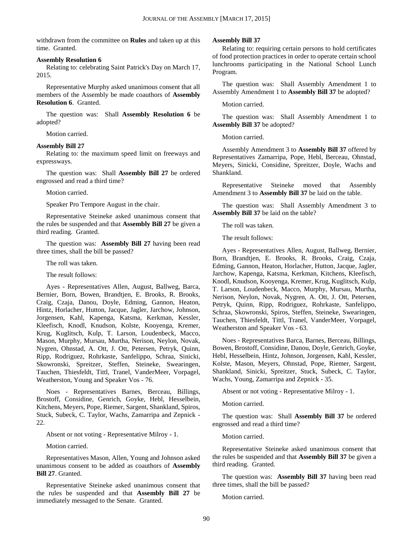withdrawn from the committee on **Rules** and taken up at this time. Granted.

#### **Assembly Resolution 6**

Relating to: celebrating Saint Patrick's Day on March 17, 2015.

Representative Murphy asked unanimous consent that all members of the Assembly be made coauthors of **Assembly Resolution 6**. Granted.

The question was: Shall **Assembly Resolution 6** be adopted?

Motion carried.

#### **Assembly Bill 27**

Relating to: the maximum speed limit on freeways and expressways.

The question was: Shall **Assembly Bill 27** be ordered engrossed and read a third time?

Motion carried.

Speaker Pro Tempore August in the chair.

Representative Steineke asked unanimous consent that the rules be suspended and that **Assembly Bill 27** be given a third reading. Granted.

The question was: **Assembly Bill 27** having been read three times, shall the bill be passed?

The roll was taken.

The result follows:

Ayes - Representatives Allen, August, Ballweg, Barca, Bernier, Born, Bowen, Brandtjen, E. Brooks, R. Brooks, Craig, Czaja, Danou, Doyle, Edming, Gannon, Heaton, Hintz, Horlacher, Hutton, Jacque, Jagler, Jarchow, Johnson, Jorgensen, Kahl, Kapenga, Katsma, Kerkman, Kessler, Kleefisch, Knodl, Knudson, Kolste, Kooyenga, Kremer, Krug, Kuglitsch, Kulp, T. Larson, Loudenbeck, Macco, Mason, Murphy, Mursau, Murtha, Nerison, Neylon, Novak, Nygren, Ohnstad, A. Ott, J. Ott, Petersen, Petryk, Quinn, Ripp, Rodriguez, Rohrkaste, Sanfelippo, Schraa, Sinicki, Skowronski, Spreitzer, Steffen, Steineke, Swearingen, Tauchen, Thiesfeldt, Tittl, Tranel, VanderMeer, Vorpagel, Weatherston, Young and Speaker Vos - 76.

Noes - Representatives Barnes, Berceau, Billings, Brostoff, Considine, Genrich, Goyke, Hebl, Hesselbein, Kitchens, Meyers, Pope, Riemer, Sargent, Shankland, Spiros, Stuck, Subeck, C. Taylor, Wachs, Zamarripa and Zepnick - 22.

Absent or not voting - Representative Milroy - 1.

Motion carried.

Representatives Mason, Allen, Young and Johnson asked unanimous consent to be added as coauthors of **Assembly Bill 27**. Granted.

Representative Steineke asked unanimous consent that the rules be suspended and that **Assembly Bill 27** be immediately messaged to the Senate. Granted.

#### **Assembly Bill 37**

Relating to: requiring certain persons to hold certificates of food protection practices in order to operate certain school lunchrooms participating in the National School Lunch Program.

The question was: Shall Assembly Amendment 1 to Assembly Amendment 1 to **Assembly Bill 37** be adopted?

Motion carried.

The question was: Shall Assembly Amendment 1 to **Assembly Bill 37** be adopted?

Motion carried.

Assembly Amendment 3 to **Assembly Bill 37** offered by Representatives Zamarripa, Pope, Hebl, Berceau, Ohnstad, Meyers, Sinicki, Considine, Spreitzer, Doyle, Wachs and Shankland.

Representative Steineke moved that Assembly Amendment 3 to **Assembly Bill 37** be laid on the table.

The question was: Shall Assembly Amendment 3 to **Assembly Bill 37** be laid on the table?

The roll was taken.

The result follows:

Ayes - Representatives Allen, August, Ballweg, Bernier, Born, Brandtjen, E. Brooks, R. Brooks, Craig, Czaja, Edming, Gannon, Heaton, Horlacher, Hutton, Jacque, Jagler, Jarchow, Kapenga, Katsma, Kerkman, Kitchens, Kleefisch, Knodl, Knudson, Kooyenga, Kremer, Krug, Kuglitsch, Kulp, T. Larson, Loudenbeck, Macco, Murphy, Mursau, Murtha, Nerison, Neylon, Novak, Nygren, A. Ott, J. Ott, Petersen, Petryk, Quinn, Ripp, Rodriguez, Rohrkaste, Sanfelippo, Schraa, Skowronski, Spiros, Steffen, Steineke, Swearingen, Tauchen, Thiesfeldt, Tittl, Tranel, VanderMeer, Vorpagel, Weatherston and Speaker Vos - 63.

Noes - Representatives Barca, Barnes, Berceau, Billings, Bowen, Brostoff, Considine, Danou, Doyle, Genrich, Goyke, Hebl, Hesselbein, Hintz, Johnson, Jorgensen, Kahl, Kessler, Kolste, Mason, Meyers, Ohnstad, Pope, Riemer, Sargent, Shankland, Sinicki, Spreitzer, Stuck, Subeck, C. Taylor, Wachs, Young, Zamarripa and Zepnick - 35.

Absent or not voting - Representative Milroy - 1.

Motion carried.

The question was: Shall **Assembly Bill 37** be ordered engrossed and read a third time?

Motion carried.

Representative Steineke asked unanimous consent that the rules be suspended and that **Assembly Bill 37** be given a third reading. Granted.

The question was: **Assembly Bill 37** having been read three times, shall the bill be passed?

Motion carried.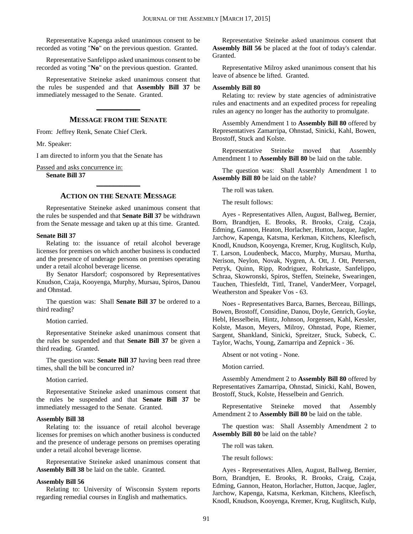Representative Kapenga asked unanimous consent to be recorded as voting "**No**" on the previous question. Granted.

Representative Sanfelippo asked unanimous consent to be recorded as voting "**No**" on the previous question. Granted.

Representative Steineke asked unanimous consent that the rules be suspended and that **Assembly Bill 37** be immediately messaged to the Senate. Granted.

### **MESSAGE FROM THE SENATE**

**\_\_\_\_\_\_\_\_\_\_\_\_\_**

From: Jeffrey Renk, Senate Chief Clerk.

Mr. Speaker:

I am directed to inform you that the Senate has

Passed and asks concurrence in:

**Senate Bill 37**

## **\_\_\_\_\_\_\_\_\_\_\_\_\_ ACTION ON THE SENATE MESSAGE**

Representative Steineke asked unanimous consent that the rules be suspended and that **Senate Bill 37** be withdrawn from the Senate message and taken up at this time. Granted.

#### **Senate Bill 37**

Relating to: the issuance of retail alcohol beverage licenses for premises on which another business is conducted and the presence of underage persons on premises operating under a retail alcohol beverage license.

By Senator Harsdorf; cosponsored by Representatives Knudson, Czaja, Kooyenga, Murphy, Mursau, Spiros, Danou and Ohnstad.

The question was: Shall **Senate Bill 37** be ordered to a third reading?

Motion carried.

Representative Steineke asked unanimous consent that the rules be suspended and that **Senate Bill 37** be given a third reading. Granted.

The question was: **Senate Bill 37** having been read three times, shall the bill be concurred in?

Motion carried.

Representative Steineke asked unanimous consent that the rules be suspended and that **Senate Bill 37** be immediately messaged to the Senate. Granted.

#### **Assembly Bill 38**

Relating to: the issuance of retail alcohol beverage licenses for premises on which another business is conducted and the presence of underage persons on premises operating under a retail alcohol beverage license.

Representative Steineke asked unanimous consent that **Assembly Bill 38** be laid on the table. Granted.

#### **Assembly Bill 56**

Relating to: University of Wisconsin System reports regarding remedial courses in English and mathematics.

Representative Steineke asked unanimous consent that **Assembly Bill 56** be placed at the foot of today's calendar. Granted.

Representative Milroy asked unanimous consent that his leave of absence be lifted. Granted.

#### **Assembly Bill 80**

Relating to: review by state agencies of administrative rules and enactments and an expedited process for repealing rules an agency no longer has the authority to promulgate.

Assembly Amendment 1 to **Assembly Bill 80** offered by Representatives Zamarripa, Ohnstad, Sinicki, Kahl, Bowen, Brostoff, Stuck and Kolste.

Representative Steineke moved that Assembly Amendment 1 to **Assembly Bill 80** be laid on the table.

The question was: Shall Assembly Amendment 1 to **Assembly Bill 80** be laid on the table?

The roll was taken.

The result follows:

Ayes - Representatives Allen, August, Ballweg, Bernier, Born, Brandtjen, E. Brooks, R. Brooks, Craig, Czaja, Edming, Gannon, Heaton, Horlacher, Hutton, Jacque, Jagler, Jarchow, Kapenga, Katsma, Kerkman, Kitchens, Kleefisch, Knodl, Knudson, Kooyenga, Kremer, Krug, Kuglitsch, Kulp, T. Larson, Loudenbeck, Macco, Murphy, Mursau, Murtha, Nerison, Neylon, Novak, Nygren, A. Ott, J. Ott, Petersen, Petryk, Quinn, Ripp, Rodriguez, Rohrkaste, Sanfelippo, Schraa, Skowronski, Spiros, Steffen, Steineke, Swearingen, Tauchen, Thiesfeldt, Tittl, Tranel, VanderMeer, Vorpagel, Weatherston and Speaker Vos - 63.

Noes - Representatives Barca, Barnes, Berceau, Billings, Bowen, Brostoff, Considine, Danou, Doyle, Genrich, Goyke, Hebl, Hesselbein, Hintz, Johnson, Jorgensen, Kahl, Kessler, Kolste, Mason, Meyers, Milroy, Ohnstad, Pope, Riemer, Sargent, Shankland, Sinicki, Spreitzer, Stuck, Subeck, C. Taylor, Wachs, Young, Zamarripa and Zepnick - 36.

Absent or not voting - None.

Motion carried.

Assembly Amendment 2 to **Assembly Bill 80** offered by Representatives Zamarripa, Ohnstad, Sinicki, Kahl, Bowen, Brostoff, Stuck, Kolste, Hesselbein and Genrich.

Representative Steineke moved that Assembly Amendment 2 to **Assembly Bill 80** be laid on the table.

The question was: Shall Assembly Amendment 2 to **Assembly Bill 80** be laid on the table?

The roll was taken.

The result follows:

Ayes - Representatives Allen, August, Ballweg, Bernier, Born, Brandtjen, E. Brooks, R. Brooks, Craig, Czaja, Edming, Gannon, Heaton, Horlacher, Hutton, Jacque, Jagler, Jarchow, Kapenga, Katsma, Kerkman, Kitchens, Kleefisch, Knodl, Knudson, Kooyenga, Kremer, Krug, Kuglitsch, Kulp,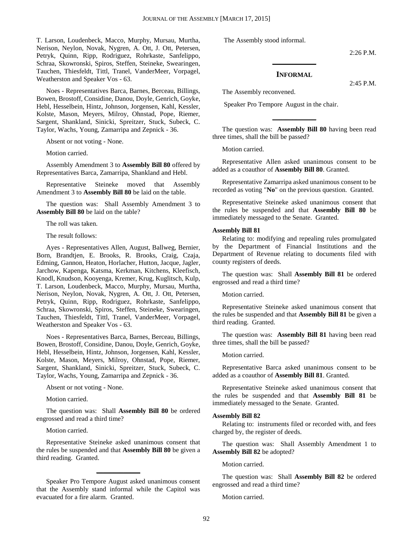T. Larson, Loudenbeck, Macco, Murphy, Mursau, Murtha, Nerison, Neylon, Novak, Nygren, A. Ott, J. Ott, Petersen, Petryk, Quinn, Ripp, Rodriguez, Rohrkaste, Sanfelippo, Schraa, Skowronski, Spiros, Steffen, Steineke, Swearingen, Tauchen, Thiesfeldt, Tittl, Tranel, VanderMeer, Vorpagel, Weatherston and Speaker Vos - 63.

Noes - Representatives Barca, Barnes, Berceau, Billings, Bowen, Brostoff, Considine, Danou, Doyle, Genrich, Goyke, Hebl, Hesselbein, Hintz, Johnson, Jorgensen, Kahl, Kessler, Kolste, Mason, Meyers, Milroy, Ohnstad, Pope, Riemer, Sargent, Shankland, Sinicki, Spreitzer, Stuck, Subeck, C. Taylor, Wachs, Young, Zamarripa and Zepnick - 36.

Absent or not voting - None.

Motion carried.

Assembly Amendment 3 to **Assembly Bill 80** offered by Representatives Barca, Zamarripa, Shankland and Hebl.

Representative Steineke moved that Assembly Amendment 3 to **Assembly Bill 80** be laid on the table.

The question was: Shall Assembly Amendment 3 to **Assembly Bill 80** be laid on the table?

The roll was taken.

The result follows:

Ayes - Representatives Allen, August, Ballweg, Bernier, Born, Brandtjen, E. Brooks, R. Brooks, Craig, Czaja, Edming, Gannon, Heaton, Horlacher, Hutton, Jacque, Jagler, Jarchow, Kapenga, Katsma, Kerkman, Kitchens, Kleefisch, Knodl, Knudson, Kooyenga, Kremer, Krug, Kuglitsch, Kulp, T. Larson, Loudenbeck, Macco, Murphy, Mursau, Murtha, Nerison, Neylon, Novak, Nygren, A. Ott, J. Ott, Petersen, Petryk, Quinn, Ripp, Rodriguez, Rohrkaste, Sanfelippo, Schraa, Skowronski, Spiros, Steffen, Steineke, Swearingen, Tauchen, Thiesfeldt, Tittl, Tranel, VanderMeer, Vorpagel, Weatherston and Speaker Vos - 63.

Noes - Representatives Barca, Barnes, Berceau, Billings, Bowen, Brostoff, Considine, Danou, Doyle, Genrich, Goyke, Hebl, Hesselbein, Hintz, Johnson, Jorgensen, Kahl, Kessler, Kolste, Mason, Meyers, Milroy, Ohnstad, Pope, Riemer, Sargent, Shankland, Sinicki, Spreitzer, Stuck, Subeck, C. Taylor, Wachs, Young, Zamarripa and Zepnick - 36.

Absent or not voting - None.

Motion carried.

The question was: Shall **Assembly Bill 80** be ordered engrossed and read a third time?

Motion carried.

Representative Steineke asked unanimous consent that the rules be suspended and that **Assembly Bill 80** be given a third reading. Granted.

Speaker Pro Tempore August asked unanimous consent that the Assembly stand informal while the Capitol was evacuated for a fire alarm. Granted.

**\_\_\_\_\_\_\_\_\_\_\_\_\_**

The Assembly stood informal.

2:26 P.M.

#### **INFORMAL**

**\_\_\_\_\_\_\_\_\_\_\_\_\_**

2:45 P.M.

The Assembly reconvened.

Speaker Pro Tempore August in the chair.

The question was: **Assembly Bill 80** having been read three times, shall the bill be passed?

**\_\_\_\_\_\_\_\_\_\_\_\_\_**

Motion carried.

Representative Allen asked unanimous consent to be added as a coauthor of **Assembly Bill 80**. Granted.

Representative Zamarripa asked unanimous consent to be recorded as voting "**No**" on the previous question. Granted.

Representative Steineke asked unanimous consent that the rules be suspended and that **Assembly Bill 80** be immediately messaged to the Senate. Granted.

#### **Assembly Bill 81**

Relating to: modifying and repealing rules promulgated by the Department of Financial Institutions and the Department of Revenue relating to documents filed with county registers of deeds.

The question was: Shall **Assembly Bill 81** be ordered engrossed and read a third time?

Motion carried.

Representative Steineke asked unanimous consent that the rules be suspended and that **Assembly Bill 81** be given a third reading. Granted.

The question was: **Assembly Bill 81** having been read three times, shall the bill be passed?

#### Motion carried.

Representative Barca asked unanimous consent to be added as a coauthor of **Assembly Bill 81**. Granted.

Representative Steineke asked unanimous consent that the rules be suspended and that **Assembly Bill 81** be immediately messaged to the Senate. Granted.

#### **Assembly Bill 82**

Relating to: instruments filed or recorded with, and fees charged by, the register of deeds.

The question was: Shall Assembly Amendment 1 to **Assembly Bill 82** be adopted?

Motion carried.

The question was: Shall **Assembly Bill 82** be ordered engrossed and read a third time?

Motion carried.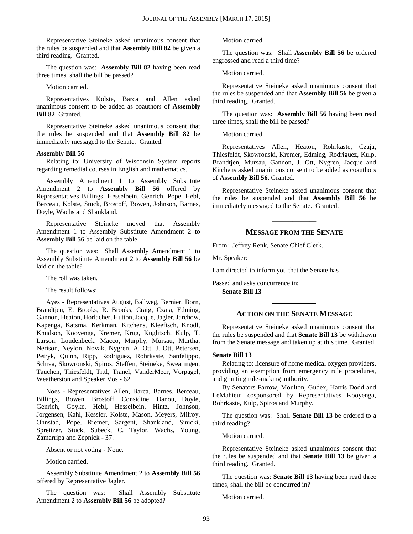Representative Steineke asked unanimous consent that the rules be suspended and that **Assembly Bill 82** be given a third reading. Granted.

The question was: **Assembly Bill 82** having been read three times, shall the bill be passed?

#### Motion carried.

Representatives Kolste, Barca and Allen asked unanimous consent to be added as coauthors of **Assembly Bill 82**. Granted.

Representative Steineke asked unanimous consent that the rules be suspended and that **Assembly Bill 82** be immediately messaged to the Senate. Granted.

#### **Assembly Bill 56**

Relating to: University of Wisconsin System reports regarding remedial courses in English and mathematics.

Assembly Amendment 1 to Assembly Substitute Amendment 2 to **Assembly Bill 56** offered by Representatives Billings, Hesselbein, Genrich, Pope, Hebl, Berceau, Kolste, Stuck, Brostoff, Bowen, Johnson, Barnes, Doyle, Wachs and Shankland.

Representative Steineke moved that Assembly Amendment 1 to Assembly Substitute Amendment 2 to **Assembly Bill 56** be laid on the table.

The question was: Shall Assembly Amendment 1 to Assembly Substitute Amendment 2 to **Assembly Bill 56** be laid on the table?

The roll was taken.

The result follows:

Ayes - Representatives August, Ballweg, Bernier, Born, Brandtjen, E. Brooks, R. Brooks, Craig, Czaja, Edming, Gannon, Heaton, Horlacher, Hutton, Jacque, Jagler, Jarchow, Kapenga, Katsma, Kerkman, Kitchens, Kleefisch, Knodl, Knudson, Kooyenga, Kremer, Krug, Kuglitsch, Kulp, T. Larson, Loudenbeck, Macco, Murphy, Mursau, Murtha, Nerison, Neylon, Novak, Nygren, A. Ott, J. Ott, Petersen, Petryk, Quinn, Ripp, Rodriguez, Rohrkaste, Sanfelippo, Schraa, Skowronski, Spiros, Steffen, Steineke, Swearingen, Tauchen, Thiesfeldt, Tittl, Tranel, VanderMeer, Vorpagel, Weatherston and Speaker Vos - 62.

Noes - Representatives Allen, Barca, Barnes, Berceau, Billings, Bowen, Brostoff, Considine, Danou, Doyle, Genrich, Goyke, Hebl, Hesselbein, Hintz, Johnson, Jorgensen, Kahl, Kessler, Kolste, Mason, Meyers, Milroy, Ohnstad, Pope, Riemer, Sargent, Shankland, Sinicki, Spreitzer, Stuck, Subeck, C. Taylor, Wachs, Young, Zamarripa and Zepnick - 37.

Absent or not voting - None.

Motion carried.

Assembly Substitute Amendment 2 to **Assembly Bill 56** offered by Representative Jagler.

The question was: Shall Assembly Substitute Amendment 2 to **Assembly Bill 56** be adopted?

Motion carried.

The question was: Shall **Assembly Bill 56** be ordered engrossed and read a third time?

Motion carried.

Representative Steineke asked unanimous consent that the rules be suspended and that **Assembly Bill 56** be given a third reading. Granted.

The question was: **Assembly Bill 56** having been read three times, shall the bill be passed?

Motion carried.

Representatives Allen, Heaton, Rohrkaste, Czaja, Thiesfeldt, Skowronski, Kremer, Edming, Rodriguez, Kulp, Brandtjen, Mursau, Gannon, J. Ott, Nygren, Jacque and Kitchens asked unanimous consent to be added as coauthors of **Assembly Bill 56**. Granted.

Representative Steineke asked unanimous consent that the rules be suspended and that **Assembly Bill 56** be immediately messaged to the Senate. Granted.

#### **MESSAGE FROM THE SENATE**

**\_\_\_\_\_\_\_\_\_\_\_\_\_**

From: Jeffrey Renk, Senate Chief Clerk.

Mr. Speaker:

I am directed to inform you that the Senate has

Passed and asks concurrence in: **Senate Bill 13**

#### **ACTION ON THE SENATE MESSAGE**

**\_\_\_\_\_\_\_\_\_\_\_\_\_**

Representative Steineke asked unanimous consent that the rules be suspended and that **Senate Bill 13** be withdrawn from the Senate message and taken up at this time. Granted.

#### **Senate Bill 13**

Relating to: licensure of home medical oxygen providers, providing an exemption from emergency rule procedures, and granting rule-making authority.

By Senators Farrow, Moulton, Gudex, Harris Dodd and LeMahieu; cosponsored by Representatives Kooyenga, Rohrkaste, Kulp, Spiros and Murphy.

The question was: Shall **Senate Bill 13** be ordered to a third reading?

Motion carried.

Representative Steineke asked unanimous consent that the rules be suspended and that **Senate Bill 13** be given a third reading. Granted.

The question was: **Senate Bill 13** having been read three times, shall the bill be concurred in?

Motion carried.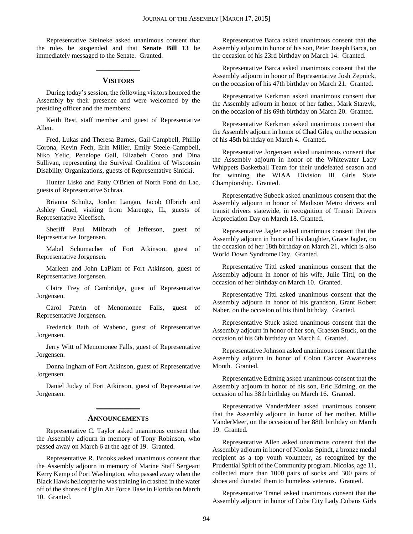Representative Steineke asked unanimous consent that the rules be suspended and that **Senate Bill 13** be immediately messaged to the Senate. Granted.

## **\_\_\_\_\_\_\_\_\_\_\_\_\_ VISITORS**

During today's session, the following visitors honored the Assembly by their presence and were welcomed by the presiding officer and the members:

Keith Best, staff member and guest of Representative Allen.

Fred, Lukas and Theresa Barnes, Gail Campbell, Phillip Corona, Kevin Fech, Erin Miller, Emily Steele-Campbell, Niko Yelic, Penelope Gall, Elizabeh Coroo and Dina Sullivan, representing the Survival Coalition of Wisconsin Disability Organizations, guests of Representative Sinicki.

Hunter Lisko and Patty O'Brien of North Fond du Lac, guests of Representative Schraa.

Brianna Schultz, Jordan Langan, Jacob Olbrich and Ashley Gruel, visiting from Marengo, IL, guests of Representative Kleefisch.

Sheriff Paul Milbrath of Jefferson, guest of Representative Jorgensen.

Mabel Schumacher of Fort Atkinson, guest of Representative Jorgensen.

Marleen and John LaPlant of Fort Atkinson, guest of Representative Jorgensen.

Claire Frey of Cambridge, guest of Representative Jorgensen.

Carol Patvin of Menomonee Falls, guest of Representative Jorgensen.

Frederick Bath of Wabeno, guest of Representative Jorgensen.

Jerry Witt of Menomonee Falls, guest of Representative Jorgensen.

Donna Ingham of Fort Atkinson, guest of Representative Jorgensen.

Daniel Juday of Fort Atkinson, guest of Representative Jorgensen.

## **\_\_\_\_\_\_\_\_\_\_\_\_\_ ANNOUNCEMENTS**

Representative C. Taylor asked unanimous consent that the Assembly adjourn in memory of Tony Robinson, who passed away on March 6 at the age of 19. Granted.

Representative R. Brooks asked unanimous consent that the Assembly adjourn in memory of Marine Staff Sergeant Kerry Kemp of Port Washington, who passed away when the Black Hawk helicopter he was training in crashed in the water off of the shores of Eglin Air Force Base in Florida on March 10. Granted.

Representative Barca asked unanimous consent that the Assembly adjourn in honor of his son, Peter Joseph Barca, on the occasion of his 23rd birthday on March 14. Granted.

Representative Barca asked unanimous consent that the Assembly adjourn in honor of Representative Josh Zepnick, on the occasion of his 47th birthday on March 21. Granted.

Representative Kerkman asked unanimous consent that the Assembly adjourn in honor of her father, Mark Starzyk, on the occasion of his 69th birthday on March 20. Granted.

Representative Kerkman asked unanimous consent that the Assembly adjourn in honor of Chad Giles, on the occasion of his 45th birthday on March 4. Granted.

Representative Jorgensen asked unanimous consent that the Assembly adjourn in honor of the Whitewater Lady Whippets Basketball Team for their undefeated season and for winning the WIAA Division III Girls State Championship. Granted.

Representative Subeck asked unanimous consent that the Assembly adjourn in honor of Madison Metro drivers and transit drivers statewide, in recognition of Transit Drivers Appreciation Day on March 18. Granted.

Representative Jagler asked unanimous consent that the Assembly adjourn in honor of his daughter, Grace Jagler, on the occasion of her 18th birthday on March 21, which is also World Down Syndrome Day. Granted.

Representative Tittl asked unanimous consent that the Assembly adjourn in honor of his wife, Julie Tittl, on the occasion of her birthday on March 10. Granted.

Representative Tittl asked unanimous consent that the Assembly adjourn in honor of his grandson, Grant Robert Naber, on the occasion of his third bithday. Granted.

Representative Stuck asked unanimous consent that the Assembly adjourn in honor of her son, Graesen Stuck, on the occasion of his 6th birthday on March 4. Granted.

Representative Johnson asked unanimous consent that the Assembly adjourn in honor of Colon Cancer Awareness Month. Granted.

Representative Edming asked unanimous consent that the Assembly adjourn in honor of his son, Eric Edming, on the occasion of his 38th birthday on March 16. Granted.

Representative VanderMeer asked unanimous consent that the Assembly adjourn in honor of her mother, Millie VanderMeer, on the occasion of her 88th birthday on March 19. Granted.

Representative Allen asked unanimous consent that the Assembly adjourn in honor of Nicolas Spindt, a bronze medal recipient as a top youth volunteer, as recognized by the Prudential Spirit of the Community program. Nicolas, age 11, collected more than 1000 pairs of socks and 300 pairs of shoes and donated them to homeless veterans. Granted.

Representative Tranel asked unanimous consent that the Assembly adjourn in honor of Cuba City Lady Cubans Girls